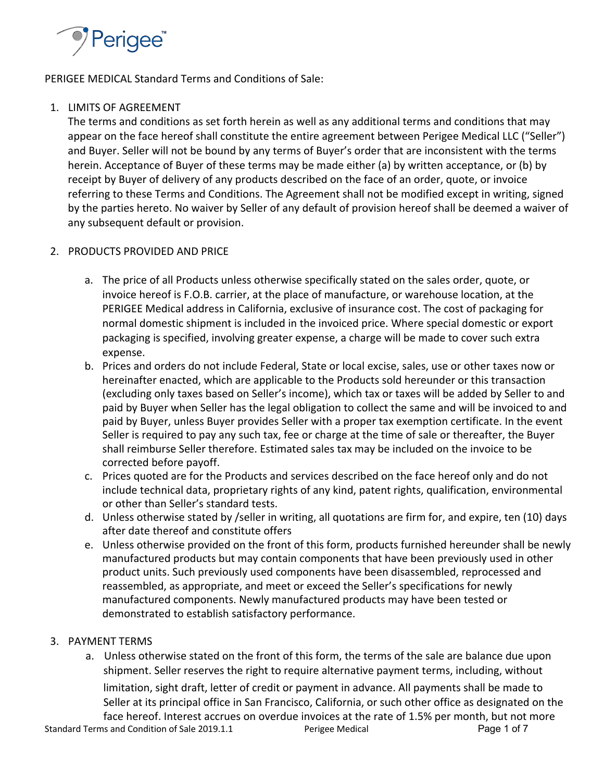

PERIGEE MEDICAL Standard Terms and Conditions of Sale:

# 1. LIMITS OF AGREEMENT

The terms and conditions as set forth herein as well as any additional terms and conditions that may appear on the face hereof shall constitute the entire agreement between Perigee Medical LLC ("Seller") and Buyer. Seller will not be bound by any terms of Buyer's order that are inconsistent with the terms herein. Acceptance of Buyer of these terms may be made either (a) by written acceptance, or (b) by receipt by Buyer of delivery of any products described on the face of an order, quote, or invoice referring to these Terms and Conditions. The Agreement shall not be modified except in writing, signed by the parties hereto. No waiver by Seller of any default of provision hereof shall be deemed a waiver of any subsequent default or provision.

# 2. PRODUCTS PROVIDED AND PRICE

- a. The price of all Products unless otherwise specifically stated on the sales order, quote, or invoice hereof is F.O.B. carrier, at the place of manufacture, or warehouse location, at the PERIGEE Medical address in California, exclusive of insurance cost. The cost of packaging for normal domestic shipment is included in the invoiced price. Where special domestic or export packaging is specified, involving greater expense, a charge will be made to cover such extra expense.
- b. Prices and orders do not include Federal, State or local excise, sales, use or other taxes now or hereinafter enacted, which are applicable to the Products sold hereunder or this transaction (excluding only taxes based on Seller's income), which tax or taxes will be added by Seller to and paid by Buyer when Seller has the legal obligation to collect the same and will be invoiced to and paid by Buyer, unless Buyer provides Seller with a proper tax exemption certificate. In the event Seller is required to pay any such tax, fee or charge at the time of sale or thereafter, the Buyer shall reimburse Seller therefore. Estimated sales tax may be included on the invoice to be corrected before payoff.
- c. Prices quoted are for the Products and services described on the face hereof only and do not include technical data, proprietary rights of any kind, patent rights, qualification, environmental or other than Seller's standard tests.
- d. Unless otherwise stated by /seller in writing, all quotations are firm for, and expire, ten (10) days after date thereof and constitute offers
- e. Unless otherwise provided on the front of this form, products furnished hereunder shall be newly manufactured products but may contain components that have been previously used in other product units. Such previously used components have been disassembled, reprocessed and reassembled, as appropriate, and meet or exceed the Seller's specifications for newly manufactured components. Newly manufactured products may have been tested or demonstrated to establish satisfactory performance.

# 3. PAYMENT TERMS

a. Unless otherwise stated on the front of this form, the terms of the sale are balance due upon shipment. Seller reserves the right to require alternative payment terms, including, without limitation, sight draft, letter of credit or payment in advance. All payments shall be made to Seller at its principal office in San Francisco, California, or such other office as designated on the face hereof. Interest accrues on overdue invoices at the rate of 1.5% per month, but not more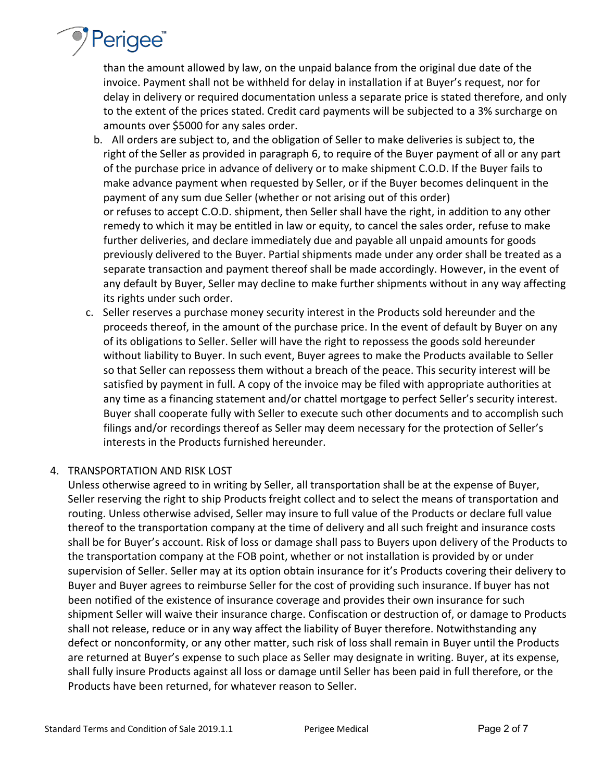

than the amount allowed by law, on the unpaid balance from the original due date of the invoice. Payment shall not be withheld for delay in installation if at Buyer's request, nor for delay in delivery or required documentation unless a separate price is stated therefore, and only to the extent of the prices stated. Credit card payments will be subjected to a 3% surcharge on amounts over \$5000 for any sales order.

- b. All orders are subject to, and the obligation of Seller to make deliveries is subject to, the right of the Seller as provided in paragraph 6, to require of the Buyer payment of all or any part of the purchase price in advance of delivery or to make shipment C.O.D. If the Buyer fails to make advance payment when requested by Seller, or if the Buyer becomes delinquent in the payment of any sum due Seller (whether or not arising out of this order) or refuses to accept C.O.D. shipment, then Seller shall have the right, in addition to any other remedy to which it may be entitled in law or equity, to cancel the sales order, refuse to make further deliveries, and declare immediately due and payable all unpaid amounts for goods previously delivered to the Buyer. Partial shipments made under any order shall be treated as a separate transaction and payment thereof shall be made accordingly. However, in the event of any default by Buyer, Seller may decline to make further shipments without in any way affecting its rights under such order.
- c. Seller reserves a purchase money security interest in the Products sold hereunder and the proceeds thereof, in the amount of the purchase price. In the event of default by Buyer on any of its obligations to Seller. Seller will have the right to repossess the goods sold hereunder without liability to Buyer. In such event, Buyer agrees to make the Products available to Seller so that Seller can repossess them without a breach of the peace. This security interest will be satisfied by payment in full. A copy of the invoice may be filed with appropriate authorities at any time as a financing statement and/or chattel mortgage to perfect Seller's security interest. Buyer shall cooperate fully with Seller to execute such other documents and to accomplish such filings and/or recordings thereof as Seller may deem necessary for the protection of Seller's interests in the Products furnished hereunder.

## 4. TRANSPORTATION AND RISK LOST

Unless otherwise agreed to in writing by Seller, all transportation shall be at the expense of Buyer, Seller reserving the right to ship Products freight collect and to select the means of transportation and routing. Unless otherwise advised, Seller may insure to full value of the Products or declare full value thereof to the transportation company at the time of delivery and all such freight and insurance costs shall be for Buyer's account. Risk of loss or damage shall pass to Buyers upon delivery of the Products to the transportation company at the FOB point, whether or not installation is provided by or under supervision of Seller. Seller may at its option obtain insurance for it's Products covering their delivery to Buyer and Buyer agrees to reimburse Seller for the cost of providing such insurance. If buyer has not been notified of the existence of insurance coverage and provides their own insurance for such shipment Seller will waive their insurance charge. Confiscation or destruction of, or damage to Products shall not release, reduce or in any way affect the liability of Buyer therefore. Notwithstanding any defect or nonconformity, or any other matter, such risk of loss shall remain in Buyer until the Products are returned at Buyer's expense to such place as Seller may designate in writing. Buyer, at its expense, shall fully insure Products against all loss or damage until Seller has been paid in full therefore, or the Products have been returned, for whatever reason to Seller.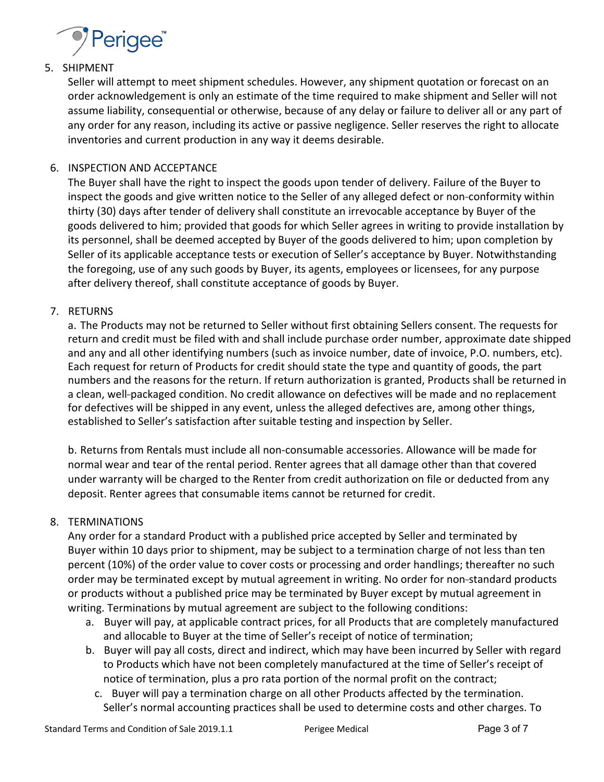

# 5. SHIPMENT

Seller will attempt to meet shipment schedules. However, any shipment quotation or forecast on an order acknowledgement is only an estimate of the time required to make shipment and Seller will not assume liability, consequential or otherwise, because of any delay or failure to deliver all or any part of any order for any reason, including its active or passive negligence. Seller reserves the right to allocate inventories and current production in any way it deems desirable.

# 6. INSPECTION AND ACCEPTANCE

The Buyer shall have the right to inspect the goods upon tender of delivery. Failure of the Buyer to inspect the goods and give written notice to the Seller of any alleged defect or non-conformity within thirty (30) days after tender of delivery shall constitute an irrevocable acceptance by Buyer of the goods delivered to him; provided that goods for which Seller agrees in writing to provide installation by its personnel, shall be deemed accepted by Buyer of the goods delivered to him; upon completion by Seller of its applicable acceptance tests or execution of Seller's acceptance by Buyer. Notwithstanding the foregoing, use of any such goods by Buyer, its agents, employees or licensees, for any purpose after delivery thereof, shall constitute acceptance of goods by Buyer.

# 7. RETURNS

a. The Products may not be returned to Seller without first obtaining Sellers consent. The requests for return and credit must be filed with and shall include purchase order number, approximate date shipped and any and all other identifying numbers (such as invoice number, date of invoice, P.O. numbers, etc). Each request for return of Products for credit should state the type and quantity of goods, the part numbers and the reasons for the return. If return authorization is granted, Products shall be returned in a clean, well-packaged condition. No credit allowance on defectives will be made and no replacement for defectives will be shipped in any event, unless the alleged defectives are, among other things, established to Seller's satisfaction after suitable testing and inspection by Seller.

b. Returns from Rentals must include all non-consumable accessories. Allowance will be made for normal wear and tear of the rental period. Renter agrees that all damage other than that covered under warranty will be charged to the Renter from credit authorization on file or deducted from any deposit. Renter agrees that consumable items cannot be returned for credit.

## 8. TERMINATIONS

Any order for a standard Product with a published price accepted by Seller and terminated by Buyer within 10 days prior to shipment, may be subject to a termination charge of not less than ten percent (10%) of the order value to cover costs or processing and order handlings; thereafter no such order may be terminated except by mutual agreement in writing. No order for non-standard products or products without a published price may be terminated by Buyer except by mutual agreement in writing. Terminations by mutual agreement are subject to the following conditions:

- a. Buyer will pay, at applicable contract prices, for all Products that are completely manufactured and allocable to Buyer at the time of Seller's receipt of notice of termination;
- b. Buyer will pay all costs, direct and indirect, which may have been incurred by Seller with regard to Products which have not been completely manufactured at the time of Seller's receipt of notice of termination, plus a pro rata portion of the normal profit on the contract;
	- c. Buyer will pay a termination charge on all other Products affected by the termination. Seller's normal accounting practices shall be used to determine costs and other charges. To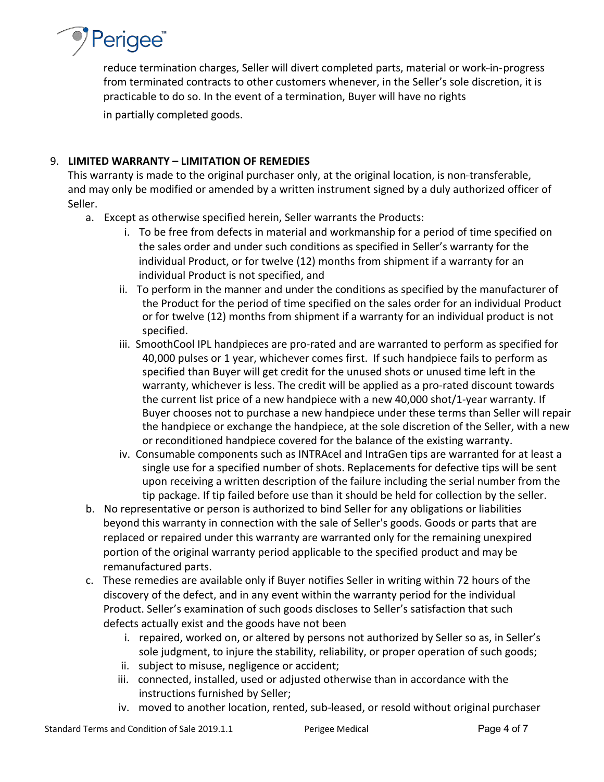

reduce termination charges, Seller will divert completed parts, material or work-in-progress from terminated contracts to other customers whenever, in the Seller's sole discretion, it is practicable to do so. In the event of a termination, Buyer will have no rights in partially completed goods.

## 9. **LIMITED WARRANTY – LIMITATION OF REMEDIES**

This warranty is made to the original purchaser only, at the original location, is non-transferable, and may only be modified or amended by a written instrument signed by a duly authorized officer of Seller.

- a. Except as otherwise specified herein, Seller warrants the Products:
	- i. To be free from defects in material and workmanship for a period of time specified on the sales order and under such conditions as specified in Seller's warranty for the individual Product, or for twelve (12) months from shipment if a warranty for an individual Product is not specified, and
	- ii. To perform in the manner and under the conditions as specified by the manufacturer of the Product for the period of time specified on the sales order for an individual Product or for twelve (12) months from shipment if a warranty for an individual product is not specified.
	- iii. SmoothCool IPL handpieces are pro-rated and are warranted to perform as specified for 40,000 pulses or 1 year, whichever comes first. If such handpiece fails to perform as specified than Buyer will get credit for the unused shots or unused time left in the warranty, whichever is less. The credit will be applied as a pro-rated discount towards the current list price of a new handpiece with a new 40,000 shot/1-year warranty. If Buyer chooses not to purchase a new handpiece under these terms than Seller will repair the handpiece or exchange the handpiece, at the sole discretion of the Seller, with a new or reconditioned handpiece covered for the balance of the existing warranty.
	- iv. Consumable components such as INTRAcel and IntraGen tips are warranted for at least a single use for a specified number of shots. Replacements for defective tips will be sent upon receiving a written description of the failure including the serial number from the tip package. If tip failed before use than it should be held for collection by the seller.
- b. No representative or person is authorized to bind Seller for any obligations or liabilities beyond this warranty in connection with the sale of Seller's goods. Goods or parts that are replaced or repaired under this warranty are warranted only for the remaining unexpired portion of the original warranty period applicable to the specified product and may be remanufactured parts.
- c. These remedies are available only if Buyer notifies Seller in writing within 72 hours of the discovery of the defect, and in any event within the warranty period for the individual Product. Seller's examination of such goods discloses to Seller's satisfaction that such defects actually exist and the goods have not been
	- i. repaired, worked on, or altered by persons not authorized by Seller so as, in Seller's sole judgment, to injure the stability, reliability, or proper operation of such goods;
	- ii. subject to misuse, negligence or accident;
	- iii. connected, installed, used or adjusted otherwise than in accordance with the instructions furnished by Seller;
	- iv. moved to another location, rented, sub-leased, or resold without original purchaser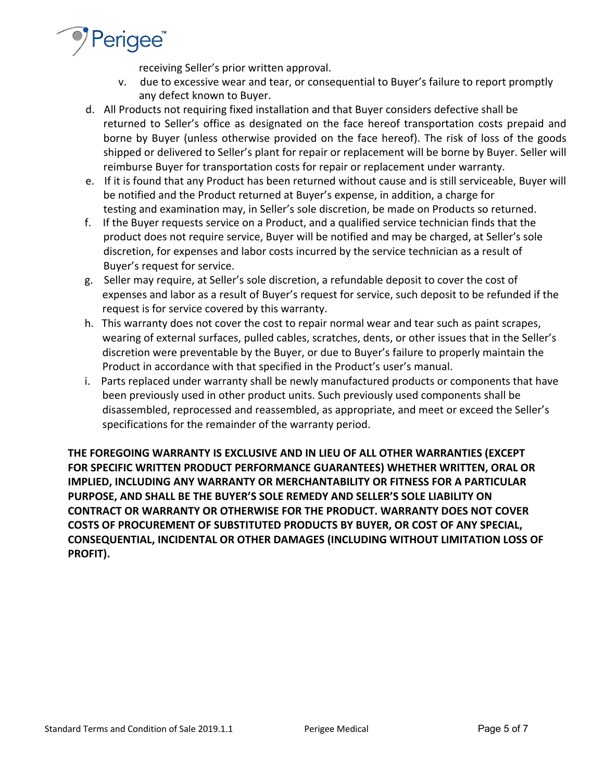

receiving Seller's prior written approval.

- v. due to excessive wear and tear, or consequential to Buyer's failure to report promptly any defect known to Buyer.
- d. All Products not requiring fixed installation and that Buyer considers defective shall be returned to Seller's office as designated on the face hereof transportation costs prepaid and borne by Buyer (unless otherwise provided on the face hereof). The risk of loss of the goods shipped or delivered to Seller's plant for repair or replacement will be borne by Buyer. Seller will reimburse Buyer for transportation costs for repair or replacement under warranty.
- e. If it is found that any Product has been returned without cause and is still serviceable, Buyer will be notified and the Product returned at Buyer's expense, in addition, a charge for testing and examination may, in Seller's sole discretion, be made on Products so returned.
- f. If the Buyer requests service on a Product, and a qualified service technician finds that the product does not require service, Buyer will be notified and may be charged, at Seller's sole discretion, for expenses and labor costs incurred by the service technician as a result of Buyer's request for service.
- g. Seller may require, at Seller's sole discretion, a refundable deposit to cover the cost of expenses and labor as a result of Buyer's request for service, such deposit to be refunded if the request is for service covered by this warranty.
- h. This warranty does not cover the cost to repair normal wear and tear such as paint scrapes, wearing of external surfaces, pulled cables, scratches, dents, or other issues that in the Seller's discretion were preventable by the Buyer, or due to Buyer's failure to properly maintain the Product in accordance with that specified in the Product's user's manual.
- i. Parts replaced under warranty shall be newly manufactured products or components that have been previously used in other product units. Such previously used components shall be disassembled, reprocessed and reassembled, as appropriate, and meet or exceed the Seller's specifications for the remainder of the warranty period.

**THE FOREGOING WARRANTY IS EXCLUSIVE AND IN LIEU OF ALL OTHER WARRANTIES (EXCEPT FOR SPECIFIC WRITTEN PRODUCT PERFORMANCE GUARANTEES) WHETHER WRITTEN, ORAL OR IMPLIED, INCLUDING ANY WARRANTY OR MERCHANTABILITY OR FITNESS FOR A PARTICULAR PURPOSE, AND SHALL BE THE BUYER'S SOLE REMEDY AND SELLER'S SOLE LIABILITY ON CONTRACT OR WARRANTY OR OTHERWISE FOR THE PRODUCT. WARRANTY DOES NOT COVER COSTS OF PROCUREMENT OF SUBSTITUTED PRODUCTS BY BUYER, OR COST OF ANY SPECIAL, CONSEQUENTIAL, INCIDENTAL OR OTHER DAMAGES (INCLUDING WITHOUT LIMITATION LOSS OF PROFIT).**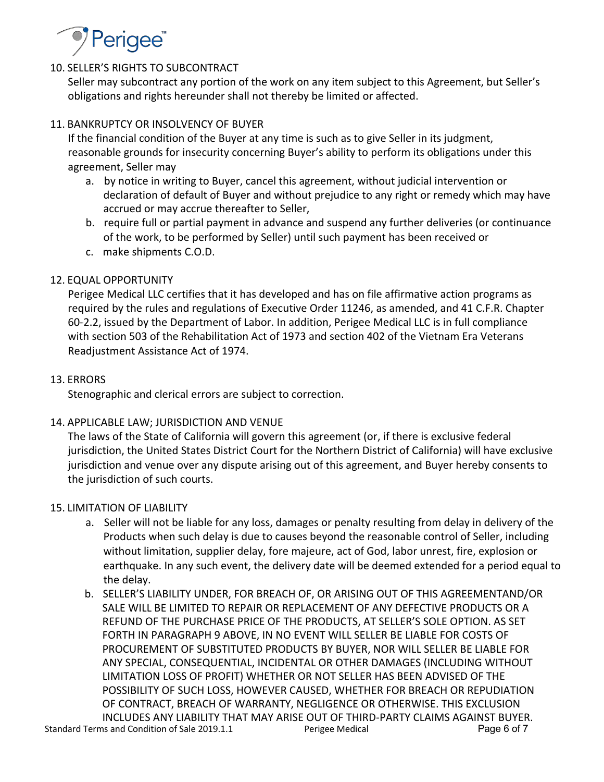

# 10. SELLER'S RIGHTS TO SUBCONTRACT

Seller may subcontract any portion of the work on any item subject to this Agreement, but Seller's obligations and rights hereunder shall not thereby be limited or affected.

## 11. BANKRUPTCY OR INSOLVENCY OF BUYER

If the financial condition of the Buyer at any time is such as to give Seller in its judgment, reasonable grounds for insecurity concerning Buyer's ability to perform its obligations under this agreement, Seller may

- a. by notice in writing to Buyer, cancel this agreement, without judicial intervention or declaration of default of Buyer and without prejudice to any right or remedy which may have accrued or may accrue thereafter to Seller,
- b. require full or partial payment in advance and suspend any further deliveries (or continuance of the work, to be performed by Seller) until such payment has been received or
- c. make shipments C.O.D.

# 12. EQUAL OPPORTUNITY

Perigee Medical LLC certifies that it has developed and has on file affirmative action programs as required by the rules and regulations of Executive Order 11246, as amended, and 41 C.F.R. Chapter 60-2.2, issued by the Department of Labor. In addition, Perigee Medical LLC is in full compliance with section 503 of the Rehabilitation Act of 1973 and section 402 of the Vietnam Era Veterans Readjustment Assistance Act of 1974.

## 13. ERRORS

Stenographic and clerical errors are subject to correction.

## 14. APPLICABLE LAW; JURISDICTION AND VENUE

The laws of the State of California will govern this agreement (or, if there is exclusive federal jurisdiction, the United States District Court for the Northern District of California) will have exclusive jurisdiction and venue over any dispute arising out of this agreement, and Buyer hereby consents to the jurisdiction of such courts.

## 15. LIMITATION OF LIABILITY

- a. Seller will not be liable for any loss, damages or penalty resulting from delay in delivery of the Products when such delay is due to causes beyond the reasonable control of Seller, including without limitation, supplier delay, fore majeure, act of God, labor unrest, fire, explosion or earthquake. In any such event, the delivery date will be deemed extended for a period equal to the delay.
- Standard Terms and Condition of Sale 2019.1.1 Perigee Medical Page 6 of 7 b. SELLER'S LIABILITY UNDER, FOR BREACH OF, OR ARISING OUT OF THIS AGREEMENTAND/OR SALE WILL BE LIMITED TO REPAIR OR REPLACEMENT OF ANY DEFECTIVE PRODUCTS OR A REFUND OF THE PURCHASE PRICE OF THE PRODUCTS, AT SELLER'S SOLE OPTION. AS SET FORTH IN PARAGRAPH 9 ABOVE, IN NO EVENT WILL SELLER BE LIABLE FOR COSTS OF PROCUREMENT OF SUBSTITUTED PRODUCTS BY BUYER, NOR WILL SELLER BE LIABLE FOR ANY SPECIAL, CONSEQUENTIAL, INCIDENTAL OR OTHER DAMAGES (INCLUDING WITHOUT LIMITATION LOSS OF PROFIT) WHETHER OR NOT SELLER HAS BEEN ADVISED OF THE POSSIBILITY OF SUCH LOSS, HOWEVER CAUSED, WHETHER FOR BREACH OR REPUDIATION OF CONTRACT, BREACH OF WARRANTY, NEGLIGENCE OR OTHERWISE. THIS EXCLUSION INCLUDES ANY LIABILITY THAT MAY ARISE OUT OF THIRD-PARTY CLAIMS AGAINST BUYER.